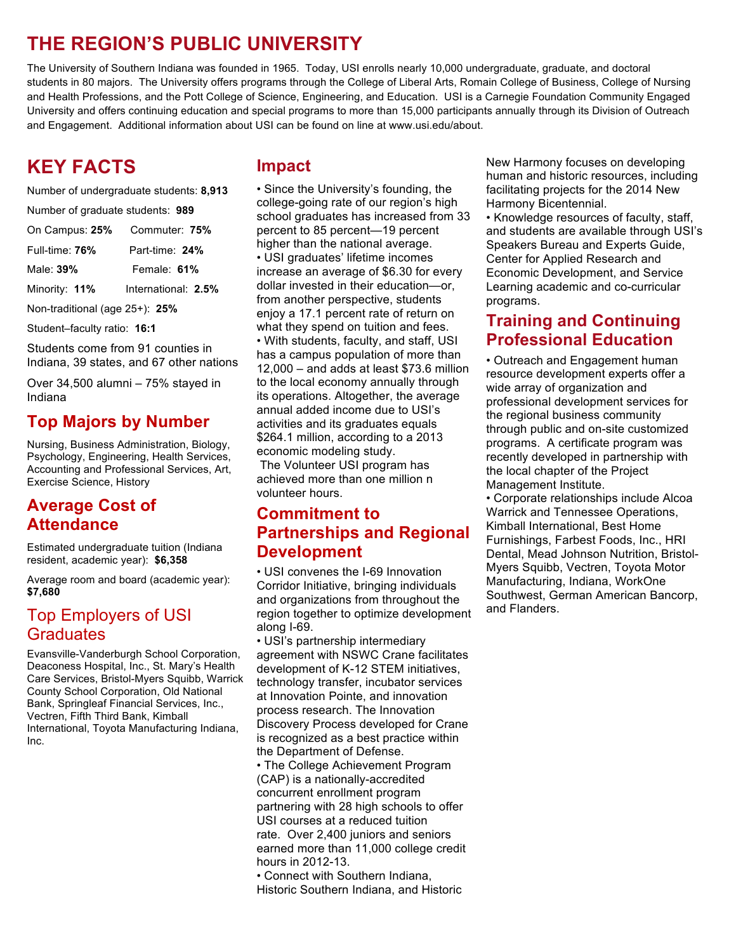# **THE REGION'S PUBLIC UNIVERSITY**

The University of Southern Indiana was founded in 1965. Today, USI enrolls nearly 10,000 undergraduate, graduate, and doctoral students in 80 majors. The University offers programs through the College of Liberal Arts, Romain College of Business, College of Nursing and Health Professions, and the Pott College of Science, Engineering, and Education. USI is a Carnegie Foundation Community Engaged University and offers continuing education and special programs to more than 15,000 participants annually through its Division of Outreach and Engagement. Additional information about USI can be found on line at www.usi.edu/about.

# **KEY FACTS**

Number of undergraduate students: **8,913**

Number of graduate students: **989**

| On Campus: 25% | Commuter: 75%       |
|----------------|---------------------|
| Full-time: 76% | Part-time: 24%      |
| Male: 39%      | Female: 61%         |
| Minority: 11%  | International: 2.5% |

Non-traditional (age 25+): **25%**

Student–faculty ratio: **16:1**

Students come from 91 counties in Indiana, 39 states, and 67 other nations

Over 34,500 alumni – 75% stayed in Indiana

## **Top Majors by Number**

Nursing, Business Administration, Biology, Psychology, Engineering, Health Services, Accounting and Professional Services, Art, Exercise Science, History

## **Average Cost of Attendance**

Estimated undergraduate tuition (Indiana resident, academic year): **\$6,358**

Average room and board (academic year): **\$7,680**

## Top Employers of USI **Graduates**

Evansville-Vanderburgh School Corporation, Deaconess Hospital, Inc., St. Mary's Health Care Services, Bristol-Myers Squibb, Warrick County School Corporation, Old National Bank, Springleaf Financial Services, Inc., Vectren, Fifth Third Bank, Kimball International, Toyota Manufacturing Indiana, Inc.

### **Impact**

• Since the University's founding, the college-going rate of our region's high school graduates has increased from 33 percent to 85 percent—19 percent higher than the national average. • USI graduates' lifetime incomes increase an average of \$6.30 for every dollar invested in their education—or, from another perspective, students enjoy a 17.1 percent rate of return on what they spend on tuition and fees. • With students, faculty, and staff, USI has a campus population of more than 12,000 – and adds at least \$73.6 million to the local economy annually through its operations. Altogether, the average annual added income due to USI's activities and its graduates equals \$264.1 million, according to a 2013 economic modeling study.

The Volunteer USI program has achieved more than one million n volunteer hours.

### **Commitment to Partnerships and Regional Development**

• USI convenes the I-69 Innovation Corridor Initiative, bringing individuals and organizations from throughout the region together to optimize development along I-69.

• USI's partnership intermediary agreement with NSWC Crane facilitates development of K-12 STEM initiatives, technology transfer, incubator services at Innovation Pointe, and innovation process research. The Innovation Discovery Process developed for Crane is recognized as a best practice within the Department of Defense.

• The College Achievement Program (CAP) is a nationally-accredited concurrent enrollment program partnering with 28 high schools to offer USI courses at a reduced tuition rate. Over 2,400 juniors and seniors earned more than 11,000 college credit hours in 2012-13.

• Connect with Southern Indiana, Historic Southern Indiana, and Historic New Harmony focuses on developing human and historic resources, including facilitating projects for the 2014 New Harmony Bicentennial.

• Knowledge resources of faculty, staff, and students are available through USI's Speakers Bureau and Experts Guide, Center for Applied Research and Economic Development, and Service Learning academic and co-curricular programs.

### **Training and Continuing Professional Education**

• Outreach and Engagement human resource development experts offer a wide array of organization and professional development services for the regional business community through public and on-site customized programs. A certificate program was recently developed in partnership with the local chapter of the Project Management Institute.

• Corporate relationships include Alcoa Warrick and Tennessee Operations, Kimball International, Best Home Furnishings, Farbest Foods, Inc., HRI Dental, Mead Johnson Nutrition, Bristol-Myers Squibb, Vectren, Toyota Motor Manufacturing, Indiana, WorkOne Southwest, German American Bancorp, and Flanders.